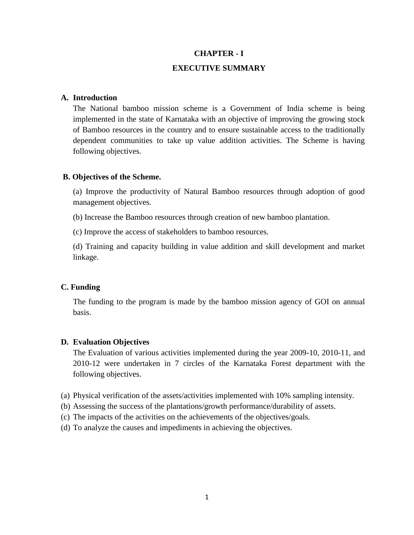## **CHAPTER - I**

### **EXECUTIVE SUMMARY**

## **A. Introduction**

The National bamboo mission scheme is a Government of India scheme is being implemented in the state of Karnataka with an objective of improving the growing stock of Bamboo resources in the country and to ensure sustainable access to the traditionally dependent communities to take up value addition activities. The Scheme is having following objectives.

#### **B. Objectives of the Scheme.**

(a) Improve the productivity of Natural Bamboo resources through adoption of good management objectives.

(b) Increase the Bamboo resources through creation of new bamboo plantation.

(c) Improve the access of stakeholders to bamboo resources.

(d) Training and capacity building in value addition and skill development and market linkage.

### **C. Funding**

The funding to the program is made by the bamboo mission agency of GOI on annual basis.

### **D. Evaluation Objectives**

The Evaluation of various activities implemented during the year 2009-10, 2010-11, and 2010-12 were undertaken in 7 circles of the Karnataka Forest department with the following objectives.

- (a) Physical verification of the assets/activities implemented with 10% sampling intensity.
- (b) Assessing the success of the plantations/growth performance/durability of assets.
- (c) The impacts of the activities on the achievements of the objectives/goals.
- (d) To analyze the causes and impediments in achieving the objectives.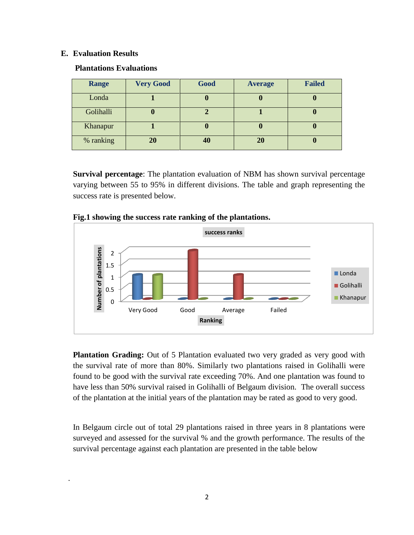### **E. Evaluation Results**

.

## **Plantations Evaluations**

| <b>Range</b> | <b>Very Good</b> | Good | <b>Average</b> | <b>Failed</b> |
|--------------|------------------|------|----------------|---------------|
| Londa        |                  |      | U              |               |
| Golihalli    | U                |      |                |               |
| Khanapur     |                  |      | U              |               |
| % ranking    | 20               |      | 20             |               |

**Survival percentage**: The plantation evaluation of NBM has shown survival percentage varying between 55 to 95% in different divisions. The table and graph representing the success rate is presented below.



### **Fig.1 showing the success rate ranking of the plantations.**

**Plantation Grading:** Out of 5 Plantation evaluated two very graded as very good with the survival rate of more than 80%. Similarly two plantations raised in Golihalli were found to be good with the survival rate exceeding 70%. And one plantation was found to have less than 50% survival raised in Golihalli of Belgaum division. The overall success of the plantation at the initial years of the plantation may be rated as good to very good.

In Belgaum circle out of total 29 plantations raised in three years in 8 plantations were surveyed and assessed for the survival % and the growth performance. The results of the survival percentage against each plantation are presented in the table below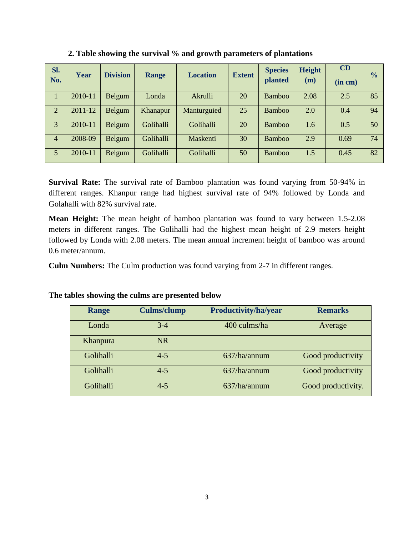| Sl.<br>No.     | Year    | <b>Division</b> | <b>Range</b>    | <b>Location</b> | <b>Extent</b> | <b>Species</b><br>planted | <b>Height</b><br>(m) | CD<br>(in cm) | $\frac{0}{0}$ |
|----------------|---------|-----------------|-----------------|-----------------|---------------|---------------------------|----------------------|---------------|---------------|
| п.             | 2010-11 | Belgum          | Londa           | Akrulli         | 20            | Bamboo                    | 2.08                 | 2.5           | 85            |
| 2              | 2011-12 | Belgum          | <b>Khanapur</b> | Manturguied     | 25            | <b>Bamboo</b>             | 2.0                  | 0.4           | 94            |
| $\overline{3}$ | 2010-11 | Belgum          | Golihalli       | Golihalli       | 20            | Bamboo                    | 1.6                  | 0.5           | 50            |
| $\overline{4}$ | 2008-09 | Belgum          | Golihalli       | Maskenti        | 30            | <b>Bamboo</b>             | 2.9                  | 0.69          | 74            |
| $\overline{5}$ | 2010-11 | Belgum          | Golihalli       | Golihalli       | 50            | Bamboo                    | 1.5                  | 0.45          | 82            |

**2. Table showing the survival % and growth parameters of plantations** 

**Survival Rate:** The survival rate of Bamboo plantation was found varying from 50-94% in different ranges. Khanpur range had highest survival rate of 94% followed by Londa and Golahalli with 82% survival rate.

**Mean Height:** The mean height of bamboo plantation was found to vary between 1.5-2.08 meters in different ranges. The Golihalli had the highest mean height of 2.9 meters height followed by Londa with 2.08 meters. The mean annual increment height of bamboo was around 0.6 meter/annum.

**Culm Numbers:** The Culm production was found varying from 2-7 in different ranges.

| Range     | <b>Culms/clump</b> | Productivity/ha/year | <b>Remarks</b>     |
|-----------|--------------------|----------------------|--------------------|
| Londa     | $3-4$              | 400 culms/ha         | Average            |
| Khanpura  | <b>NR</b>          |                      |                    |
| Golihalli | $4 - 5$            | 637/ha/annum         | Good productivity  |
| Golihalli | $4 - 5$            | 637/ha/annum         | Good productivity  |
| Golihalli | $4 - 5$            | 637/ha/annum         | Good productivity. |

### **The tables showing the culms are presented below**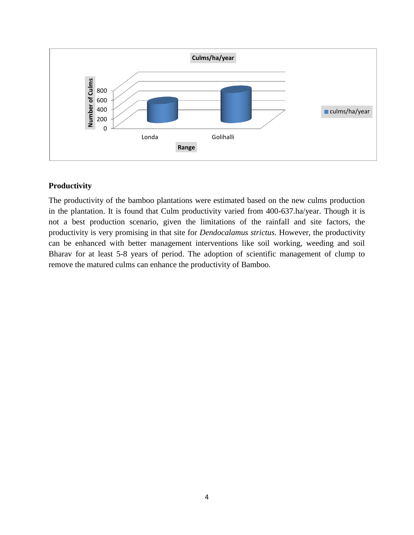

## **Productivity**

The productivity of the bamboo plantations were estimated based on the new culms production in the plantation. It is found that Culm productivity varied from 400-637.ha/year. Though it is not a best production scenario, given the limitations of the rainfall and site factors, the productivity is very promising in that site for *Dendocalamus strictus.* However, the productivity can be enhanced with better management interventions like soil working, weeding and soil Bharav for at least 5-8 years of period. The adoption of scientific management of clump to remove the matured culms can enhance the productivity of Bamboo.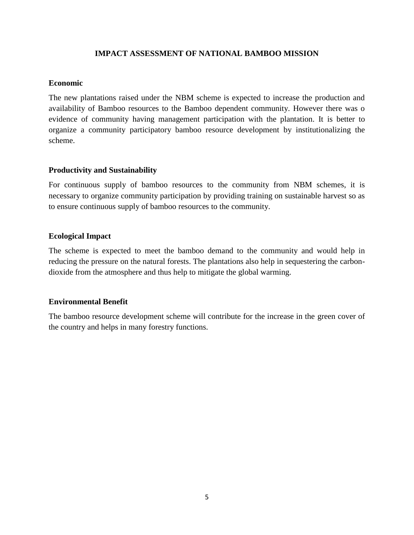## **IMPACT ASSESSMENT OF NATIONAL BAMBOO MISSION**

### **Economic**

The new plantations raised under the NBM scheme is expected to increase the production and availability of Bamboo resources to the Bamboo dependent community. However there was o evidence of community having management participation with the plantation. It is better to organize a community participatory bamboo resource development by institutionalizing the scheme.

### **Productivity and Sustainability**

For continuous supply of bamboo resources to the community from NBM schemes, it is necessary to organize community participation by providing training on sustainable harvest so as to ensure continuous supply of bamboo resources to the community.

### **Ecological Impact**

The scheme is expected to meet the bamboo demand to the community and would help in reducing the pressure on the natural forests. The plantations also help in sequestering the carbondioxide from the atmosphere and thus help to mitigate the global warming.

### **Environmental Benefit**

The bamboo resource development scheme will contribute for the increase in the green cover of the country and helps in many forestry functions.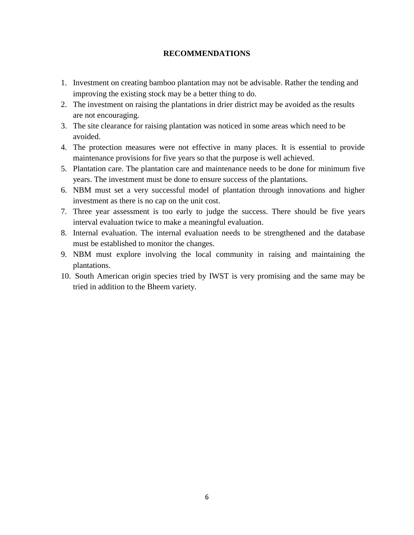## **RECOMMENDATIONS**

- 1. Investment on creating bamboo plantation may not be advisable. Rather the tending and improving the existing stock may be a better thing to do.
- 2. The investment on raising the plantations in drier district may be avoided as the results are not encouraging.
- 3. The site clearance for raising plantation was noticed in some areas which need to be avoided.
- 4. The protection measures were not effective in many places. It is essential to provide maintenance provisions for five years so that the purpose is well achieved.
- 5. Plantation care. The plantation care and maintenance needs to be done for minimum five years. The investment must be done to ensure success of the plantations.
- 6. NBM must set a very successful model of plantation through innovations and higher investment as there is no cap on the unit cost.
- 7. Three year assessment is too early to judge the success. There should be five years interval evaluation twice to make a meaningful evaluation.
- 8. Internal evaluation. The internal evaluation needs to be strengthened and the database must be established to monitor the changes.
- 9. NBM must explore involving the local community in raising and maintaining the plantations.
- 10. South American origin species tried by IWST is very promising and the same may be tried in addition to the Bheem variety.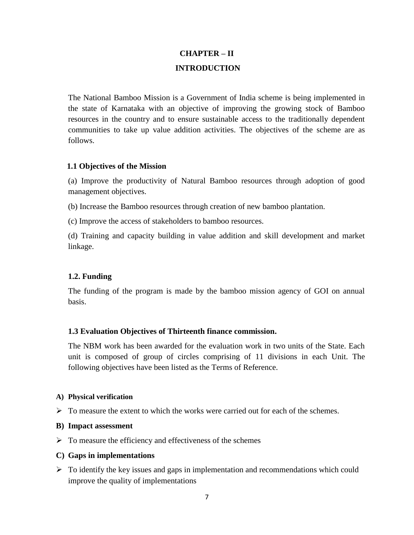# **CHAPTER – II INTRODUCTION**

The National Bamboo Mission is a Government of India scheme is being implemented in the state of Karnataka with an objective of improving the growing stock of Bamboo resources in the country and to ensure sustainable access to the traditionally dependent communities to take up value addition activities. The objectives of the scheme are as follows.

### **1.1 Objectives of the Mission**

(a) Improve the productivity of Natural Bamboo resources through adoption of good management objectives.

(b) Increase the Bamboo resources through creation of new bamboo plantation.

(c) Improve the access of stakeholders to bamboo resources.

(d) Training and capacity building in value addition and skill development and market linkage.

## **1.2. Funding**

The funding of the program is made by the bamboo mission agency of GOI on annual basis.

## **1.3 Evaluation Objectives of Thirteenth finance commission.**

The NBM work has been awarded for the evaluation work in two units of the State. Each unit is composed of group of circles comprising of 11 divisions in each Unit. The following objectives have been listed as the Terms of Reference.

### **A) Physical verification**

 $\triangleright$  To measure the extent to which the works were carried out for each of the schemes.

### **B) Impact assessment**

 $\triangleright$  To measure the efficiency and effectiveness of the schemes

### **C) Gaps in implementations**

 $\triangleright$  To identify the key issues and gaps in implementation and recommendations which could improve the quality of implementations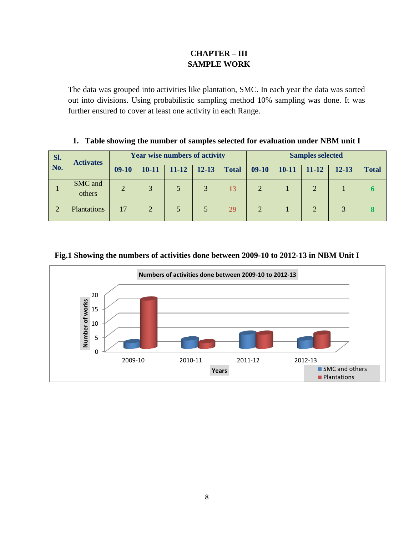# **CHAPTER – III SAMPLE WORK**

The data was grouped into activities like plantation, SMC. In each year the data was sorted out into divisions. Using probabilistic sampling method 10% sampling was done. It was further ensured to cover at least one activity in each Range.

| 1. Table showing the number of samples selected for evaluation under NBM unit I |  |  |  |  |  |  |
|---------------------------------------------------------------------------------|--|--|--|--|--|--|
|---------------------------------------------------------------------------------|--|--|--|--|--|--|

| SI.            | <b>Activates</b>  |                |                | <b>Year wise numbers of activity</b> |           |              | <b>Samples selected</b> |           |       |           |              |
|----------------|-------------------|----------------|----------------|--------------------------------------|-----------|--------------|-------------------------|-----------|-------|-----------|--------------|
|                | No.               | $09-10$        | $10 - 11$      | $11 - 12$                            | $12 - 13$ | <b>Total</b> | $09-10$                 | $10 - 11$ | 11-12 | $12 - 13$ | <b>Total</b> |
|                | SMC and<br>others | $\overline{2}$ | 3              |                                      | 3         | 13           | 2                       |           |       |           |              |
| $\overline{2}$ | Plantations       | 17             | $\overline{2}$ |                                      |           | 29           | $\overline{2}$          |           |       |           |              |

## **Fig.1 Showing the numbers of activities done between 2009-10 to 2012-13 in NBM Unit I**

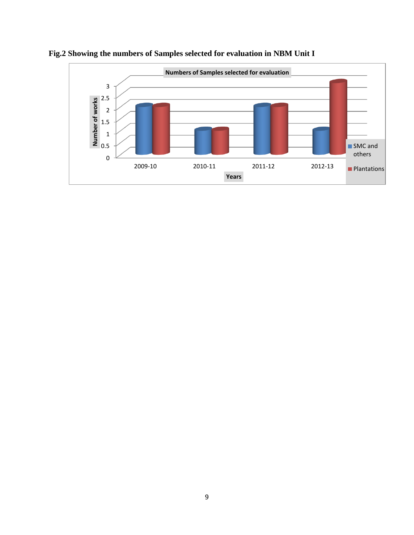

# **Fig.2 Showing the numbers of Samples selected for evaluation in NBM Unit I**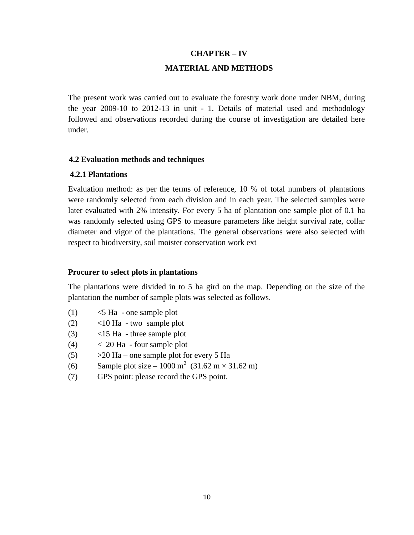## **CHAPTER – IV**

## **MATERIAL AND METHODS**

The present work was carried out to evaluate the forestry work done under NBM, during the year 2009-10 to 2012-13 in unit - 1. Details of material used and methodology followed and observations recorded during the course of investigation are detailed here under.

## **4.2 Evaluation methods and techniques**

## **4.2.1 Plantations**

Evaluation method: as per the terms of reference, 10 % of total numbers of plantations were randomly selected from each division and in each year. The selected samples were later evaluated with 2% intensity. For every 5 ha of plantation one sample plot of 0.1 ha was randomly selected using GPS to measure parameters like height survival rate, collar diameter and vigor of the plantations. The general observations were also selected with respect to biodiversity, soil moister conservation work ext

## **Procurer to select plots in plantations**

The plantations were divided in to 5 ha gird on the map. Depending on the size of the plantation the number of sample plots was selected as follows.

- $(1)$   $\leq$  5 Ha one sample plot
- (2) <10 Ha two sample plot
- (3) <15 Ha three sample plot
- $(4)$   $<$  20 Ha four sample plot
- (5)  $>20$  Ha one sample plot for every 5 Ha
- (6) Sample plot size 1000 m<sup>2</sup> (31.62 m × 31.62 m)
- (7) GPS point: please record the GPS point.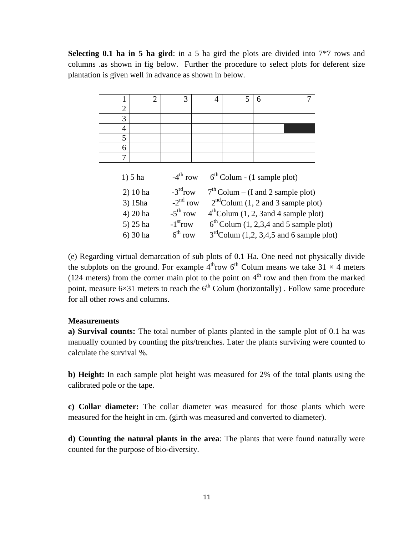**Selecting 0.1 ha in 5 ha gird**: in a 5 ha gird the plots are divided into 7\*7 rows and columns .as shown in fig below. Further the procedure to select plots for deferent size plantation is given well in advance as shown in below.

|                | $\overline{2}$ | 3                      | 4 | 5                             | 6 |                                            |  |
|----------------|----------------|------------------------|---|-------------------------------|---|--------------------------------------------|--|
| $\overline{2}$ |                |                        |   |                               |   |                                            |  |
| 3              |                |                        |   |                               |   |                                            |  |
| 4              |                |                        |   |                               |   |                                            |  |
| 5              |                |                        |   |                               |   |                                            |  |
| 6              |                |                        |   |                               |   |                                            |  |
| 7              |                |                        |   |                               |   |                                            |  |
|                |                |                        |   |                               |   |                                            |  |
|                | $1) 5$ ha      | $-4^{\text{th}}$ row   |   | $6th$ Colum - (1 sample plot) |   |                                            |  |
|                | $2)$ 10 ha     | $-3rd row$             |   |                               |   | $7th$ Colum – (I and 2 sample plot)        |  |
|                | $3)$ 15ha      | $-2nd row$             |   |                               |   | $2nd$ Colum (1, 2 and 3 sample plot)       |  |
|                | 4) 20 ha       | $-5^{\text{th}}$ row   |   |                               |   | $4th$ Colum (1, 2, 3 and 4 sample plot)    |  |
|                | 5) 25 ha       | $-1$ <sup>st</sup> row |   |                               |   | $6th$ Colum (1, 2,3,4 and 5 sample plot)   |  |
|                | 6) 30 ha       | 6 <sup>th</sup> row    |   |                               |   | $3rd$ Colum (1,2, 3,4,5 and 6 sample plot) |  |

(e) Regarding virtual demarcation of sub plots of 0.1 Ha. One need not physically divide the subplots on the ground. For example  $4^{th}$ row  $6^{th}$  Colum means we take 31  $\times$  4 meters (124 meters) from the corner main plot to the point on  $4<sup>th</sup>$  row and then from the marked point, measure  $6\times31$  meters to reach the  $6<sup>th</sup>$  Colum (horizontally). Follow same procedure for all other rows and columns.

### **Measurements**

**a) Survival counts:** The total number of plants planted in the sample plot of 0.1 ha was manually counted by counting the pits/trenches. Later the plants surviving were counted to calculate the survival %.

**b) Height:** In each sample plot height was measured for 2% of the total plants using the calibrated pole or the tape.

**c) Collar diameter:** The collar diameter was measured for those plants which were measured for the height in cm. (girth was measured and converted to diameter).

**d) Counting the natural plants in the area**: The plants that were found naturally were counted for the purpose of bio-diversity.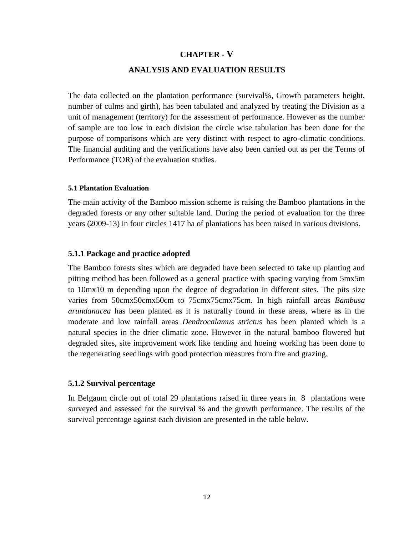## **CHAPTER - V**

### **ANALYSIS AND EVALUATION RESULTS**

The data collected on the plantation performance (survival%, Growth parameters height, number of culms and girth), has been tabulated and analyzed by treating the Division as a unit of management (territory) for the assessment of performance. However as the number of sample are too low in each division the circle wise tabulation has been done for the purpose of comparisons which are very distinct with respect to agro-climatic conditions. The financial auditing and the verifications have also been carried out as per the Terms of Performance (TOR) of the evaluation studies.

### **5.1 Plantation Evaluation**

The main activity of the Bamboo mission scheme is raising the Bamboo plantations in the degraded forests or any other suitable land. During the period of evaluation for the three years (2009-13) in four circles 1417 ha of plantations has been raised in various divisions.

### **5.1.1 Package and practice adopted**

The Bamboo forests sites which are degraded have been selected to take up planting and pitting method has been followed as a general practice with spacing varying from 5mx5m to 10mx10 m depending upon the degree of degradation in different sites. The pits size varies from 50cmx50cmx50cm to 75cmx75cmx75cm. In high rainfall areas *Bambusa arundanacea* has been planted as it is naturally found in these areas, where as in the moderate and low rainfall areas *Dendrocalamus strictus* has been planted which is a natural species in the drier climatic zone. However in the natural bamboo flowered but degraded sites, site improvement work like tending and hoeing working has been done to the regenerating seedlings with good protection measures from fire and grazing.

### **5.1.2 Survival percentage**

In Belgaum circle out of total 29 plantations raised in three years in 8 plantations were surveyed and assessed for the survival % and the growth performance. The results of the survival percentage against each division are presented in the table below.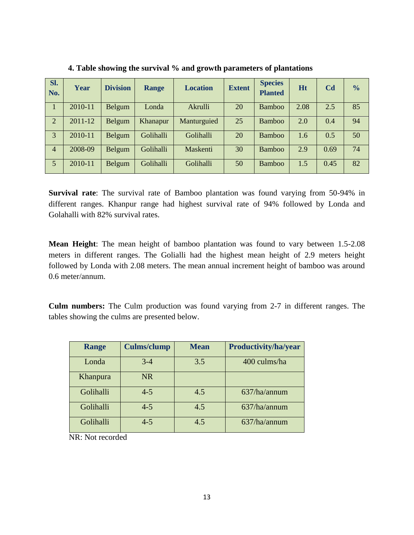| SI.<br>No.     | Year        | <b>Division</b> | <b>Range</b> | <b>Location</b> | <b>Extent</b> | <b>Species</b><br><b>Planted</b> | <b>Ht</b> | C <sub>d</sub> | $\frac{0}{0}$ |
|----------------|-------------|-----------------|--------------|-----------------|---------------|----------------------------------|-----------|----------------|---------------|
|                | 2010-11     | Belgum          | Londa        | Akrulli         | 20            | <b>Bamboo</b>                    | 2.08      | 2.5            | 85            |
| 2              | $2011 - 12$ | Belgum          | Khanapur     | Manturguied     | 25            | <b>Bamboo</b>                    | 2.0       | 0.4            | 94            |
| 3              | 2010-11     | Belgum          | Golihalli    | Golihalli       | 20            | <b>Bamboo</b>                    | 1.6       | 0.5            | 50            |
| $\overline{4}$ | 2008-09     | Belgum          | Golihalli    | Maskenti        | 30            | <b>Bamboo</b>                    | 2.9       | 0.69           | 74            |
| 5 <sup>5</sup> | 2010-11     | Belgum          | Golihalli    | Golihalli       | 50            | <b>Bamboo</b>                    | 1.5       | 0.45           | 82            |

**4. Table showing the survival % and growth parameters of plantations** 

**Survival rate**: The survival rate of Bamboo plantation was found varying from 50-94% in different ranges. Khanpur range had highest survival rate of 94% followed by Londa and Golahalli with 82% survival rates.

**Mean Height**: The mean height of bamboo plantation was found to vary between 1.5-2.08 meters in different ranges. The Golialli had the highest mean height of 2.9 meters height followed by Londa with 2.08 meters. The mean annual increment height of bamboo was around 0.6 meter/annum.

**Culm numbers:** The Culm production was found varying from 2-7 in different ranges. The tables showing the culms are presented below.

| Range     | <b>Culms/clump</b> | <b>Mean</b> | Productivity/ha/year |
|-----------|--------------------|-------------|----------------------|
| Londa     | $3 - 4$            | 3.5         | 400 culms/ha         |
| Khanpura  | NR.                |             |                      |
| Golihalli | $4 - 5$            | 4.5         | 637/ha/annum         |
| Golihalli | $4 - 5$            | 4.5         | 637/ha/annum         |
| Golihalli | $4 - 5$            | 4.5         | 637/ha/annum         |

NR: Not recorded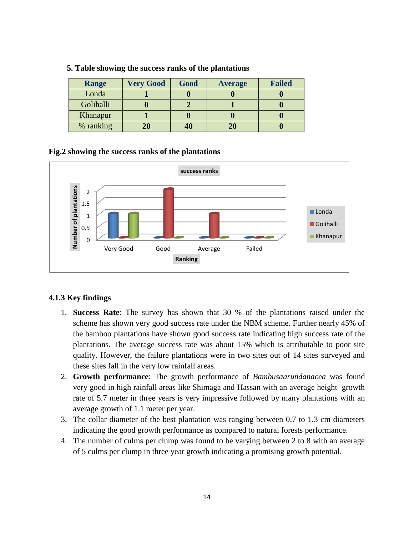| <b>Range</b> | <b>Very Good</b> | Good | <b>Average</b> | <b>Failed</b> |
|--------------|------------------|------|----------------|---------------|
| Londa        |                  |      |                |               |
| Golihalli    |                  |      |                |               |
| Khanapur     |                  |      |                |               |
| % ranking    | 20               | 40   |                |               |

### **5. Table showing the success ranks of the plantations**

### **Fig.2 showing the success ranks of the plantations**



### **4.1.3 Key findings**

- 1. **Success Rate**: The survey has shown that 30 % of the plantations raised under the scheme has shown very good success rate under the NBM scheme. Further nearly 45% of the bamboo plantations have shown good success rate indicating high success rate of the plantations. The average success rate was about 15% which is attributable to poor site quality. However, the failure plantations were in two sites out of 14 sites surveyed and these sites fall in the very low rainfall areas.
- 2. **Growth performance**: The growth performance of *Bambusaarundanacea* was found very good in high rainfall areas like Shimaga and Hassan with an average height growth rate of 5.7 meter in three years is very impressive followed by many plantations with an average growth of 1.1 meter per year.
- 3. The collar diameter of the best plantation was ranging between 0.7 to 1.3 cm diameters indicating the good growth performance as compared to natural forests performance.
- 4. The number of culms per clump was found to be varying between 2 to 8 with an average of 5 culms per clump in three year growth indicating a promising growth potential.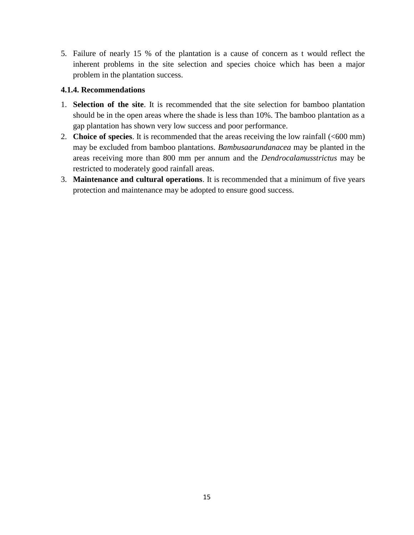5. Failure of nearly 15 % of the plantation is a cause of concern as t would reflect the inherent problems in the site selection and species choice which has been a major problem in the plantation success.

## **4.1.4. Recommendations**

- 1. **Selection of the site**. It is recommended that the site selection for bamboo plantation should be in the open areas where the shade is less than 10%. The bamboo plantation as a gap plantation has shown very low success and poor performance.
- 2. **Choice of species**. It is recommended that the areas receiving the low rainfall (<600 mm) may be excluded from bamboo plantations. *Bambusaarundanacea* may be planted in the areas receiving more than 800 mm per annum and the *Dendrocalamusstrictus* may be restricted to moderately good rainfall areas.
- 3. **Maintenance and cultural operations**. It is recommended that a minimum of five years protection and maintenance may be adopted to ensure good success.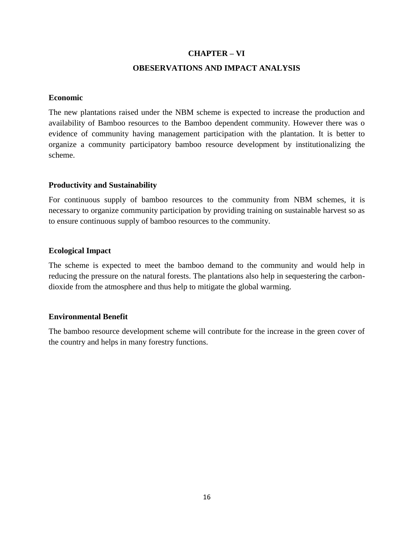### **CHAPTER – VI**

### **OBESERVATIONS AND IMPACT ANALYSIS**

### **Economic**

The new plantations raised under the NBM scheme is expected to increase the production and availability of Bamboo resources to the Bamboo dependent community. However there was o evidence of community having management participation with the plantation. It is better to organize a community participatory bamboo resource development by institutionalizing the scheme.

### **Productivity and Sustainability**

For continuous supply of bamboo resources to the community from NBM schemes, it is necessary to organize community participation by providing training on sustainable harvest so as to ensure continuous supply of bamboo resources to the community.

### **Ecological Impact**

The scheme is expected to meet the bamboo demand to the community and would help in reducing the pressure on the natural forests. The plantations also help in sequestering the carbondioxide from the atmosphere and thus help to mitigate the global warming.

### **Environmental Benefit**

The bamboo resource development scheme will contribute for the increase in the green cover of the country and helps in many forestry functions.